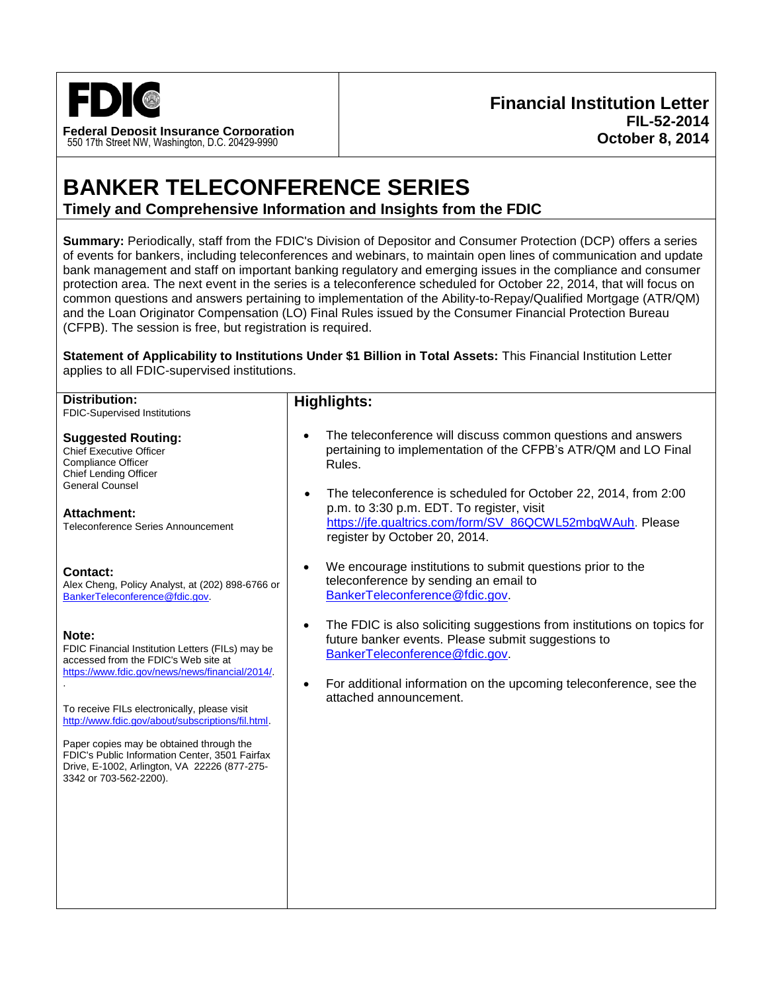

# **BANKER TELECONFERENCE SERIES Timely and Comprehensive Information and Insights from the FDIC**

**Summary:** Periodically, staff from the FDIC's Division of Depositor and Consumer Protection (DCP) offers a series of events for bankers, including teleconferences and webinars, to maintain open lines of communication and update bank management and staff on important banking regulatory and emerging issues in the compliance and consumer protection area. The next event in the series is a teleconference scheduled for October 22, 2014, that will focus on common questions and answers pertaining to implementation of the Ability-to-Repay/Qualified Mortgage (ATR/QM) and the Loan Originator Compensation (LO) Final Rules issued by the Consumer Financial Protection Bureau (CFPB). The session is free, but registration is required.

**Statement of Applicability to Institutions Under \$1 Billion in Total Assets:** This Financial Institution Letter applies to all FDIC-supervised institutions.

| <b>Distribution:</b><br>FDIC-Supervised Institutions                                                                                                                 | <b>Highlights:</b>                                                                                                                                                                                                      |
|----------------------------------------------------------------------------------------------------------------------------------------------------------------------|-------------------------------------------------------------------------------------------------------------------------------------------------------------------------------------------------------------------------|
| <b>Suggested Routing:</b><br><b>Chief Executive Officer</b><br><b>Compliance Officer</b><br><b>Chief Lending Officer</b>                                             | The teleconference will discuss common questions and answers<br>$\bullet$<br>pertaining to implementation of the CFPB's ATR/QM and LO Final<br>Rules.                                                                   |
| <b>General Counsel</b><br><b>Attachment:</b><br>Teleconference Series Announcement                                                                                   | The teleconference is scheduled for October 22, 2014, from 2:00<br>$\bullet$<br>p.m. to 3:30 p.m. EDT. To register, visit<br>https://jfe.qualtrics.com/form/SV_86QCWL52mbgWAuh. Please<br>register by October 20, 2014. |
| Contact:<br>Alex Cheng, Policy Analyst, at (202) 898-6766 or<br>BankerTeleconference@fdic.gov.                                                                       | We encourage institutions to submit questions prior to the<br>٠<br>teleconference by sending an email to<br>BankerTeleconference@fdic.gov.                                                                              |
| Note:<br>FDIC Financial Institution Letters (FILs) may be<br>accessed from the FDIC's Web site at<br>https://www.fdic.gov/news/news/financial/2014/.                 | The FDIC is also soliciting suggestions from institutions on topics for<br>$\bullet$<br>future banker events. Please submit suggestions to<br>BankerTeleconference@fdic.gov.                                            |
| To receive FILs electronically, please visit<br>http://www.fdic.gov/about/subscriptions/fil.html.                                                                    | For additional information on the upcoming teleconference, see the<br>$\bullet$<br>attached announcement.                                                                                                               |
| Paper copies may be obtained through the<br>FDIC's Public Information Center, 3501 Fairfax<br>Drive, E-1002, Arlington, VA 22226 (877-275-<br>3342 or 703-562-2200). |                                                                                                                                                                                                                         |
|                                                                                                                                                                      |                                                                                                                                                                                                                         |
|                                                                                                                                                                      |                                                                                                                                                                                                                         |